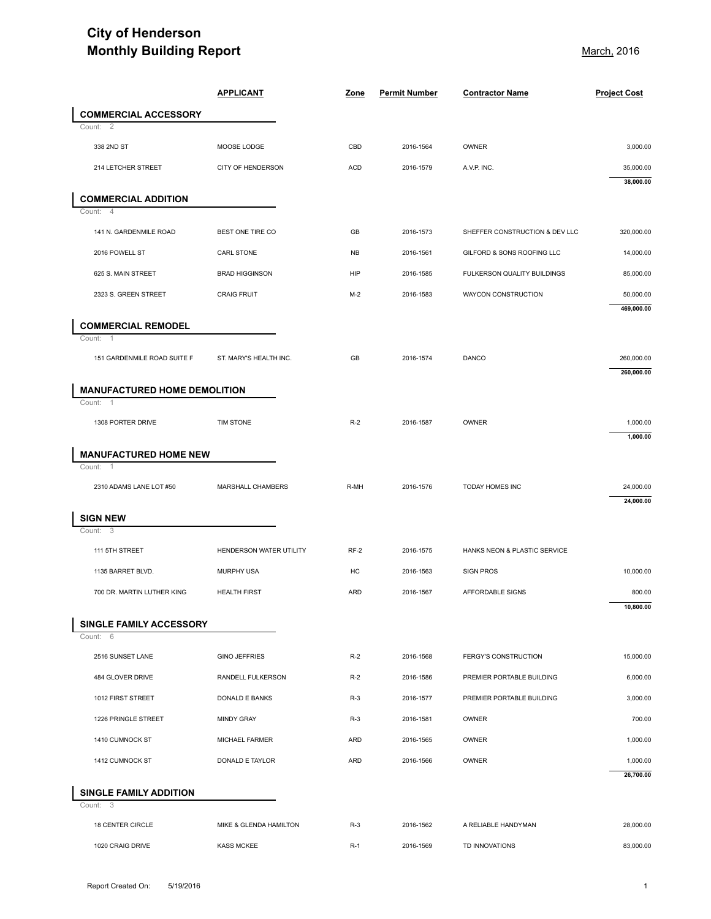## **City of Henderson Monthly Building Report Monthly Building Report** And All Control of *March*, 2016

| <b>Monthly Building Report</b>                                  |                         |            | <u>March,</u> 2016   |                                |                     |
|-----------------------------------------------------------------|-------------------------|------------|----------------------|--------------------------------|---------------------|
|                                                                 | <b>APPLICANT</b>        | Zone       | <b>Permit Number</b> | <b>Contractor Name</b>         | <b>Project Cost</b> |
| <b>COMMERCIAL ACCESSORY</b>                                     |                         |            |                      |                                |                     |
| $\overline{2}$<br>Count:<br>338 2ND ST                          | MOOSE LODGE             | CBD        | 2016-1564            | OWNER                          | 3,000.00            |
| 214 LETCHER STREET                                              | CITY OF HENDERSON       | <b>ACD</b> | 2016-1579            | A.V.P. INC.                    | 35,000.00           |
|                                                                 |                         |            |                      |                                | 38,000.00           |
| <b>COMMERCIAL ADDITION</b><br>$\overline{4}$<br>Count:          |                         |            |                      |                                |                     |
| 141 N. GARDENMILE ROAD                                          | BEST ONE TIRE CO        | GB         | 2016-1573            | SHEFFER CONSTRUCTION & DEV LLC | 320,000.00          |
| 2016 POWELL ST                                                  | CARL STONE              | <b>NB</b>  | 2016-1561            | GILFORD & SONS ROOFING LLC     | 14,000.00           |
| 625 S. MAIN STREET                                              | <b>BRAD HIGGINSON</b>   | HIP        | 2016-1585            | FULKERSON QUALITY BUILDINGS    | 85,000.00           |
| 2323 S. GREEN STREET                                            | <b>CRAIG FRUIT</b>      | $M-2$      | 2016-1583            | WAYCON CONSTRUCTION            | 50,000.00           |
|                                                                 |                         |            |                      |                                | 469,000.00          |
| <b>COMMERCIAL REMODEL</b><br>Count:<br>$\overline{1}$           |                         |            |                      |                                |                     |
| 151 GARDENMILE ROAD SUITE F                                     | ST. MARY'S HEALTH INC.  | GB         | 2016-1574            | DANCO                          | 260,000.00          |
|                                                                 |                         |            |                      |                                | 260,000.00          |
| <b>MANUFACTURED HOME DEMOLITION</b><br>Count:<br>$\overline{1}$ |                         |            |                      |                                |                     |
| 1308 PORTER DRIVE                                               | TIM STONE               | $R-2$      | 2016-1587            | OWNER                          | 1,000.00            |
|                                                                 |                         |            |                      |                                | 1,000.00            |
| <b>MANUFACTURED HOME NEW</b><br>Count:<br>- 1                   |                         |            |                      |                                |                     |
| 2310 ADAMS LANE LOT #50                                         | MARSHALL CHAMBERS       | R-MH       | 2016-1576            | TODAY HOMES INC                | 24,000.00           |
|                                                                 |                         |            |                      |                                | 24,000.00           |
| <b>SIGN NEW</b><br>Count: 3                                     |                         |            |                      |                                |                     |
| 111 5TH STREET                                                  | HENDERSON WATER UTILITY | $RF-2$     | 2016-1575            | HANKS NEON & PLASTIC SERVICE   |                     |
| 1135 BARRET BLVD.                                               | MURPHY USA              | HC         | 2016-1563            | <b>SIGN PROS</b>               | 10,000.00           |
| 700 DR. MARTIN LUTHER KING                                      | <b>HEALTH FIRST</b>     | <b>ARD</b> | 2016-1567            | AFFORDABLE SIGNS               | 800.00              |
|                                                                 |                         |            |                      |                                | 10,800.00           |
| SINGLE FAMILY ACCESSORY<br>Count: 6                             |                         |            |                      |                                |                     |
| 2516 SUNSET LANE                                                | <b>GINO JEFFRIES</b>    | $R-2$      | 2016-1568            | <b>FERGY'S CONSTRUCTION</b>    | 15,000.00           |
| 484 GLOVER DRIVE                                                | RANDELL FULKERSON       | $R-2$      | 2016-1586            | PREMIER PORTABLE BUILDING      | 6,000.00            |
| 1012 FIRST STREET                                               | DONALD E BANKS          | $R-3$      | 2016-1577            | PREMIER PORTABLE BUILDING      | 3,000.00            |
| 1226 PRINGLE STREET                                             | <b>MINDY GRAY</b>       | $R-3$      | 2016-1581            | OWNER                          | 700.00              |
| 1410 CUMNOCK ST                                                 | MICHAEL FARMER          | <b>ARD</b> | 2016-1565            | OWNER                          | 1,000.00            |
| 1412 CUMNOCK ST                                                 | DONALD E TAYLOR         | <b>ARD</b> | 2016-1566            | OWNER                          | 1,000.00            |
|                                                                 |                         |            |                      |                                | 26,700.00           |
|                                                                 |                         |            |                      |                                |                     |
| SINGLE FAMILY ADDITION<br>Count: 3                              |                         |            |                      |                                |                     |
| 18 CENTER CIRCLE                                                | MIKE & GLENDA HAMILTON  | $R-3$      | 2016-1562            | A RELIABLE HANDYMAN            | 28,000.00           |